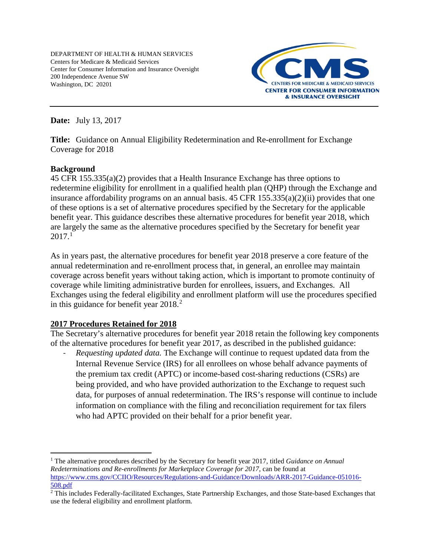DEPARTMENT OF HEALTH & HUMAN SERVICES Centers for Medicare & Medicaid Services Center for Consumer Information and Insurance Oversight 200 Independence Avenue SW Washington, DC 20201



**Date:** July 13, 2017

**Title:** Guidance on Annual Eligibility Redetermination and Re-enrollment for Exchange Coverage for 2018

### **Background**

45 CFR 155.335(a)(2) provides that a Health Insurance Exchange has three options to redetermine eligibility for enrollment in a qualified health plan (QHP) through the Exchange and insurance affordability programs on an annual basis. 45 CFR 155.335(a)(2)(ii) provides that one of these options is a set of alternative procedures specified by the Secretary for the applicable benefit year. This guidance describes these alternative procedures for benefit year 2018, which are largely the same as the alternative procedures specified by the Secretary for benefit year  $2017.<sup>1</sup>$  $2017.<sup>1</sup>$  $2017.<sup>1</sup>$ 

As in years past, the alternative procedures for benefit year 2018 preserve a core feature of the annual redetermination and re-enrollment process that, in general, an enrollee may maintain coverage across benefit years without taking action, which is important to promote continuity of coverage while limiting administrative burden for enrollees, issuers, and Exchanges. All Exchanges using the federal eligibility and enrollment platform will use the procedures specified in this guidance for benefit year  $2018<sup>2</sup>$  $2018<sup>2</sup>$ .

# **2017 Procedures Retained for 2018**

The Secretary's alternative procedures for benefit year 2018 retain the following key components of the alternative procedures for benefit year 2017, as described in the published guidance:

- *Requesting updated data.* The Exchange will continue to request updated data from the Internal Revenue Service (IRS) for all enrollees on whose behalf advance payments of the premium tax credit (APTC) or income-based cost-sharing reductions (CSRs) are being provided, and who have provided authorization to the Exchange to request such data, for purposes of annual redetermination. The IRS's response will continue to include information on compliance with the filing and reconciliation requirement for tax filers who had APTC provided on their behalf for a prior benefit year.

<span id="page-0-0"></span> <sup>1</sup> The alternative procedures described by the Secretary for benefit year 2017, titled *Guidance on Annual Redeterminations and Re-enrollments for Marketplace Coverage for 2017*, can be found at [https://www.cms.gov/CCIIO/Resources/Regulations-and-Guidance/Downloads/ARR-2017-Guidance-051016-](https://www.cms.gov/CCIIO/Resources/Regulations-and-Guidance/Downloads/ARR-2017-Guidance-051016-508.pdf) [508.pdf](https://www.cms.gov/CCIIO/Resources/Regulations-and-Guidance/Downloads/ARR-2017-Guidance-051016-508.pdf)

<span id="page-0-1"></span> $\overline{2}$ This includes Federally-facilitated Exchanges, State Partnership Exchanges, and those State-based Exchanges that use the federal eligibility and enrollment platform.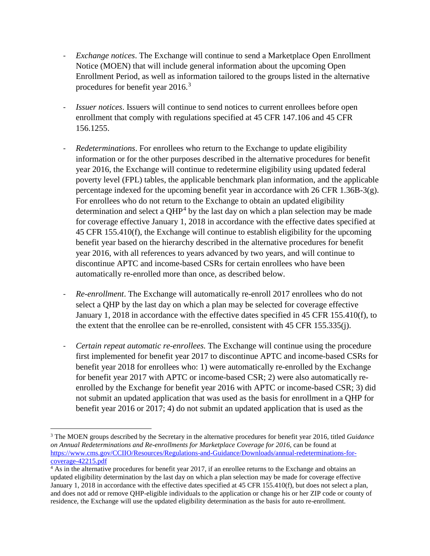- *Exchange notices*. The Exchange will continue to send a Marketplace Open Enrollment Notice (MOEN) that will include general information about the upcoming Open Enrollment Period, as well as information tailored to the groups listed in the alternative procedures for benefit year 2016.<sup>[3](#page-1-0)</sup>
- *Issuer notices*. Issuers will continue to send notices to current enrollees before open enrollment that comply with regulations specified at 45 CFR 147.106 and 45 CFR 156.1255.
- *Redeterminations*. For enrollees who return to the Exchange to update eligibility information or for the other purposes described in the alternative procedures for benefit year 2016, the Exchange will continue to redetermine eligibility using updated federal poverty level (FPL) tables, the applicable benchmark plan information, and the applicable percentage indexed for the upcoming benefit year in accordance with 26 CFR 1.36B-3(g). For enrollees who do not return to the Exchange to obtain an updated eligibility determination and select a  $QHP<sup>4</sup>$  $QHP<sup>4</sup>$  $QHP<sup>4</sup>$  by the last day on which a plan selection may be made for coverage effective January 1, 2018 in accordance with the effective dates specified at 45 CFR 155.410(f), the Exchange will continue to establish eligibility for the upcoming benefit year based on the hierarchy described in the alternative procedures for benefit year 2016, with all references to years advanced by two years, and will continue to discontinue APTC and income-based CSRs for certain enrollees who have been automatically re-enrolled more than once, as described below.
- *Re-enrollment*. The Exchange will automatically re-enroll 2017 enrollees who do not select a QHP by the last day on which a plan may be selected for coverage effective January 1, 2018 in accordance with the effective dates specified in 45 CFR 155.410(f), to the extent that the enrollee can be re-enrolled, consistent with 45 CFR 155.335(j).
- *Certain repeat automatic re-enrollees.* The Exchange will continue using the procedure first implemented for benefit year 2017 to discontinue APTC and income-based CSRs for benefit year 2018 for enrollees who: 1) were automatically re-enrolled by the Exchange for benefit year 2017 with APTC or income-based CSR; 2) were also automatically reenrolled by the Exchange for benefit year 2016 with APTC or income-based CSR; 3) did not submit an updated application that was used as the basis for enrollment in a QHP for benefit year 2016 or 2017; 4) do not submit an updated application that is used as the

<span id="page-1-0"></span> <sup>3</sup> The MOEN groups described by the Secretary in the alternative procedures for benefit year 2016, titled *Guidance on Annual Redeterminations and Re-enrollments for Marketplace Coverage for 2016*, can be found at [https://www.cms.gov/CCIIO/Resources/Regulations-and-Guidance/Downloads/annual-redeterminations-for](https://www.cms.gov/CCIIO/Resources/Regulations-and-Guidance/Downloads/annual-redeterminations-for-coverage-42215.pdf)[coverage-42215.pdf](https://www.cms.gov/CCIIO/Resources/Regulations-and-Guidance/Downloads/annual-redeterminations-for-coverage-42215.pdf)

<span id="page-1-1"></span><sup>&</sup>lt;sup>4</sup> As in the alternative procedures for benefit year 2017, if an enrollee returns to the Exchange and obtains an updated eligibility determination by the last day on which a plan selection may be made for coverage effective January 1, 2018 in accordance with the effective dates specified at 45 CFR 155.410(f), but does not select a plan, and does not add or remove QHP-eligible individuals to the application or change his or her ZIP code or county of residence, the Exchange will use the updated eligibility determination as the basis for auto re-enrollment.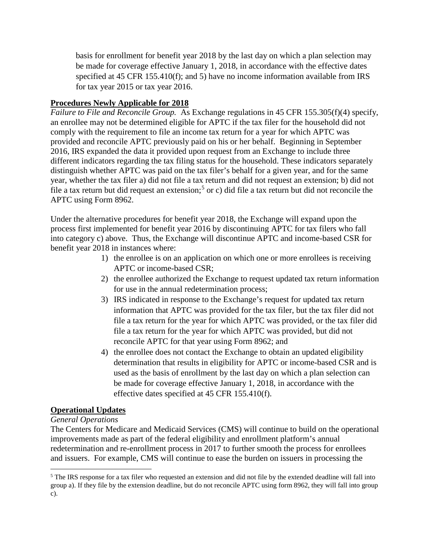basis for enrollment for benefit year 2018 by the last day on which a plan selection may be made for coverage effective January 1, 2018, in accordance with the effective dates specified at 45 CFR 155.410(f); and 5) have no income information available from IRS for tax year 2015 or tax year 2016.

### **Procedures Newly Applicable for 2018**

*Failure to File and Reconcile Group.* As Exchange regulations in 45 CFR 155.305(f)(4) specify, an enrollee may not be determined eligible for APTC if the tax filer for the household did not comply with the requirement to file an income tax return for a year for which APTC was provided and reconcile APTC previously paid on his or her behalf. Beginning in September 2016, IRS expanded the data it provided upon request from an Exchange to include three different indicators regarding the tax filing status for the household. These indicators separately distinguish whether APTC was paid on the tax filer's behalf for a given year, and for the same year, whether the tax filer a) did not file a tax return and did not request an extension; b) did not file a tax return but did request an extension;<sup>[5](#page-2-0)</sup> or c) did file a tax return but did not reconcile the APTC using Form 8962.

Under the alternative procedures for benefit year 2018, the Exchange will expand upon the process first implemented for benefit year 2016 by discontinuing APTC for tax filers who fall into category c) above. Thus, the Exchange will discontinue APTC and income-based CSR for benefit year 2018 in instances where:

- 1) the enrollee is on an application on which one or more enrollees is receiving APTC or income-based CSR;
- 2) the enrollee authorized the Exchange to request updated tax return information for use in the annual redetermination process;
- 3) IRS indicated in response to the Exchange's request for updated tax return information that APTC was provided for the tax filer, but the tax filer did not file a tax return for the year for which APTC was provided, or the tax filer did file a tax return for the year for which APTC was provided, but did not reconcile APTC for that year using Form 8962; and
- 4) the enrollee does not contact the Exchange to obtain an updated eligibility determination that results in eligibility for APTC or income-based CSR and is used as the basis of enrollment by the last day on which a plan selection can be made for coverage effective January 1, 2018, in accordance with the effective dates specified at 45 CFR 155.410(f).

# **Operational Updates**

#### *General Operations*

The Centers for Medicare and Medicaid Services (CMS) will continue to build on the operational improvements made as part of the federal eligibility and enrollment platform's annual redetermination and re-enrollment process in 2017 to further smooth the process for enrollees and issuers. For example, CMS will continue to ease the burden on issuers in processing the

<span id="page-2-0"></span><sup>&</sup>lt;sup>5</sup> The IRS response for a tax filer who requested an extension and did not file by the extended deadline will fall into group a). If they file by the extension deadline, but do not reconcile APTC using form 8962, they will fall into group c).